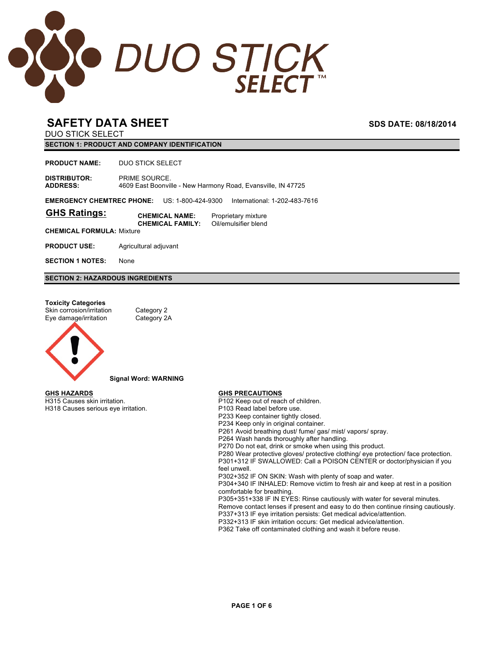

DUO STICK SELECT

**SECTION 1: PRODUCT AND COMPANY IDENTIFICATION**

**PRODUCT NAME:** DUO STICK SELECT

**DISTRIBUTOR:** PRIME SOURCE. **ADDRESS:** 4609 East Boonville - New Harmony Road, Evansville, IN 47725

**EMERGENCY CHEMTREC PHONE:** US: 1-800-424-9300 International: 1-202-483-7616

| <b>GHS Ratings:</b> | <b>CHEMICAL NAME:</b>   | Proprietary mixture  |
|---------------------|-------------------------|----------------------|
|                     | <b>CHEMICAL FAMILY:</b> | Oil/emulsifier blend |

**CHEMICAL FORMULA:** Mixture

**PRODUCT USE:** Agricultural adjuvant

**SECTION 1 NOTES:** None

**SECTION 2: HAZARDOUS INGREDIENTS**

### **Toxicity Categories**

Skin corrosion/irritation Category 2 Eye damage/irritation Category 2A



**Signal Word: WARNING**

**GHS HAZARDS** H315 Causes skin irritation. H318 Causes serious eye irritation.

#### **GHS PRECAUTIONS**

P102 Keep out of reach of children.

- P103 Read label before use.
- P233 Keep container tightly closed.
- P234 Keep only in original container.

P261 Avoid breathing dust/ fume/ gas/ mist/ vapors/ spray.

P264 Wash hands thoroughly after handling.

P270 Do not eat, drink or smoke when using this product.

P280 Wear protective gloves/ protective clothing/ eye protection/ face protection. P301+312 IF SWALLOWED: Call a POISON CENTER or doctor/physician if you feel unwell.

P302+352 IF ON SKIN: Wash with plenty of soap and water.

P304+340 IF INHALED: Remove victim to fresh air and keep at rest in a position comfortable for breathing.

P305+351+338 IF IN EYES: Rinse cautiously with water for several minutes.

Remove contact lenses if present and easy to do then continue rinsing cautiously. P337+313 IF eye irritation persists: Get medical advice/attention.

P332+313 IF skin irritation occurs: Get medical advice/attention.

P362 Take off contaminated clothing and wash it before reuse.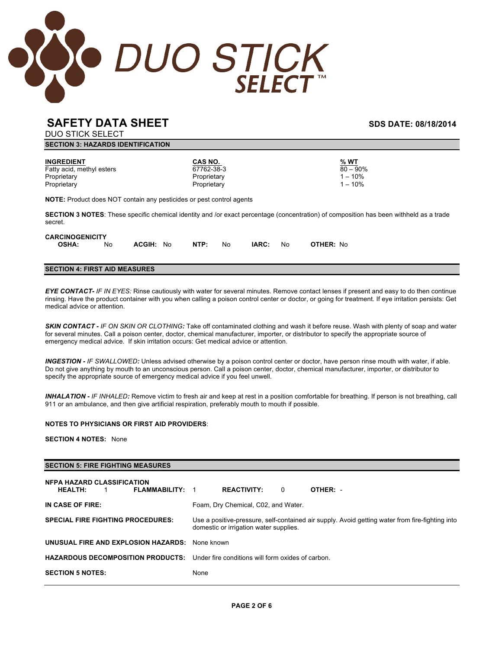

DUO STICK SELECT

| -------------                 |  |                                                       |     |                                                     |                                                                             |                                               |                                                                                                                                               |
|-------------------------------|--|-------------------------------------------------------|-----|-----------------------------------------------------|-----------------------------------------------------------------------------|-----------------------------------------------|-----------------------------------------------------------------------------------------------------------------------------------------------|
|                               |  |                                                       |     |                                                     |                                                                             |                                               |                                                                                                                                               |
| Fatty acid, methyl esters     |  |                                                       |     |                                                     |                                                                             | % WT<br>$80 - 90\%$<br>$1 - 10%$<br>$1 - 10%$ |                                                                                                                                               |
|                               |  |                                                       |     |                                                     |                                                                             |                                               |                                                                                                                                               |
|                               |  |                                                       |     |                                                     |                                                                             |                                               |                                                                                                                                               |
| <b>CARCINOGENICITY</b><br>No. |  | NTP:                                                  | No. | IARC:                                               | No.                                                                         | OTHER: No                                     |                                                                                                                                               |
|                               |  | <b>SECTION 3: HAZARDS IDENTIFICATION</b><br>ACGIH: No |     | CAS NO.<br>67762-38-3<br>Proprietary<br>Proprietary | <b>NOTE:</b> Product does NOT contain any pesticides or pest control agents |                                               | <b>SECTION 3 NOTES:</b> These specific chemical identity and /or exact percentage (concentration) of composition has been withheld as a trade |

### **SECTION 4: FIRST AID MEASURES**

*EYE CONTACT- IF IN EYES:* Rinse cautiously with water for several minutes. Remove contact lenses if present and easy to do then continue rinsing. Have the product container with you when calling a poison control center or doctor, or going for treatment. If eye irritation persists: Get medical advice or attention.

*SKIN CONTACT - IF ON SKIN OR CLOTHING:* Take off contaminated clothing and wash it before reuse. Wash with plenty of soap and water for several minutes. Call a poison center, doctor, chemical manufacturer, importer, or distributor to specify the appropriate source of emergency medical advice. If skin irritation occurs: Get medical advice or attention.

*INGESTION - IF SWALLOWED:* Unless advised otherwise by a poison control center or doctor, have person rinse mouth with water, if able. Do not give anything by mouth to an unconscious person. Call a poison center, doctor, chemical manufacturer, importer, or distributor to specify the appropriate source of emergency medical advice if you feel unwell.

*INHALATION - IF INHALED:* Remove victim to fresh air and keep at rest in a position comfortable for breathing. If person is not breathing, call 911 or an ambulance, and then give artificial respiration, preferably mouth to mouth if possible.

### **NOTES TO PHYSICIANS OR FIRST AID PROVIDERS**:

**SECTION 4 NOTES:** None

### **SECTION 5: FIRE FIGHTING MEASURES**

| <b>NFPA HAZARD CLASSIFICATION</b><br><b>HEALTH:</b><br><b>FLAMMABILITY: 1</b><br>1.        | <b>REACTIVITY:</b>                     | $\Omega$ | OTHER: -                                                                                        |
|--------------------------------------------------------------------------------------------|----------------------------------------|----------|-------------------------------------------------------------------------------------------------|
| IN CASE OF FIRE:                                                                           | Foam, Dry Chemical, C02, and Water.    |          |                                                                                                 |
| <b>SPECIAL FIRE FIGHTING PROCEDURES:</b>                                                   | domestic or irrigation water supplies. |          | Use a positive-pressure, self-contained air supply. Avoid getting water from fire-fighting into |
| UNUSUAL FIRE AND EXPLOSION HAZARDS:                                                        | None known                             |          |                                                                                                 |
| <b>HAZARDOUS DECOMPOSITION PRODUCTS:</b> Under fire conditions will form oxides of carbon. |                                        |          |                                                                                                 |
| <b>SECTION 5 NOTES:</b>                                                                    | None                                   |          |                                                                                                 |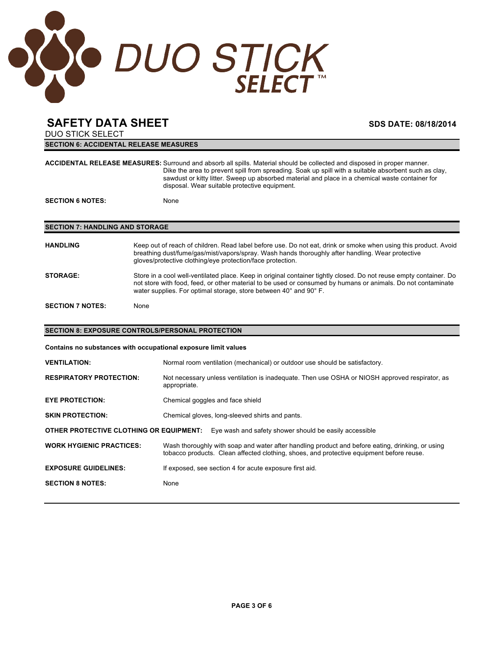

DUO STICK SELECT **SECTION 6: ACCIDENTAL RELEASE MEASURES**

|                                        | ACCIDENTAL RELEASE MEASURES: Surround and absorb all spills. Material should be collected and disposed in proper manner.<br>Dike the area to prevent spill from spreading. Soak up spill with a suitable absorbent such as clay,<br>sawdust or kitty litter. Sweep up absorbed material and place in a chemical waste container for<br>disposal. Wear suitable protective equipment. |  |  |  |
|----------------------------------------|--------------------------------------------------------------------------------------------------------------------------------------------------------------------------------------------------------------------------------------------------------------------------------------------------------------------------------------------------------------------------------------|--|--|--|
| <b>SECTION 6 NOTES:</b>                | None                                                                                                                                                                                                                                                                                                                                                                                 |  |  |  |
|                                        |                                                                                                                                                                                                                                                                                                                                                                                      |  |  |  |
| <b>SECTION 7: HANDLING AND STORAGE</b> |                                                                                                                                                                                                                                                                                                                                                                                      |  |  |  |
| <b>HANDLING</b>                        | Keep out of reach of children. Read label before use. Do not eat, drink or smoke when using this product. Avoid<br>breathing dust/fume/gas/mist/vapors/spray. Wash hands thoroughly after handling. Wear protective<br>gloves/protective clothing/eye protection/face protection.                                                                                                    |  |  |  |
| <b>STORAGE:</b>                        | Store in a cool well-ventilated place. Keep in original container tightly closed. Do not reuse empty container. Do<br>not store with food, feed, or other material to be used or consumed by humans or animals. Do not contaminate<br>water supplies. For optimal storage, store between 40° and 90° F.                                                                              |  |  |  |
| <b>SECTION 7 NOTES:</b>                | None                                                                                                                                                                                                                                                                                                                                                                                 |  |  |  |
|                                        | <b>SECTION 8: EXPOSURE CONTROLS/PERSONAL PROTECTION</b>                                                                                                                                                                                                                                                                                                                              |  |  |  |
|                                        |                                                                                                                                                                                                                                                                                                                                                                                      |  |  |  |
|                                        | Contains no substances with occupational exposure limit values                                                                                                                                                                                                                                                                                                                       |  |  |  |
| <b>VENTILATION:</b>                    | Normal room ventilation (mechanical) or outdoor use should be satisfactory.                                                                                                                                                                                                                                                                                                          |  |  |  |
| <b>RESPIRATORY PROTECTION:</b>         | Not necessary unless ventilation is inadequate. Then use OSHA or NIOSH approved respirator, as<br>appropriate.                                                                                                                                                                                                                                                                       |  |  |  |
| <b>EYE PROTECTION:</b>                 | Chemical goggles and face shield                                                                                                                                                                                                                                                                                                                                                     |  |  |  |
| <b>SKIN PROTECTION:</b>                | Chemical gloves, long-sleeved shirts and pants.                                                                                                                                                                                                                                                                                                                                      |  |  |  |
|                                        | OTHER PROTECTIVE CLOTHING OR EQUIPMENT: Eye wash and safety shower should be easily accessible                                                                                                                                                                                                                                                                                       |  |  |  |
| <b>WORK HYGIENIC PRACTICES:</b>        | Wash thoroughly with soap and water after handling product and before eating, drinking, or using<br>tobacco products. Clean affected clothing, shoes, and protective equipment before reuse.                                                                                                                                                                                         |  |  |  |
| <b>EXPOSURE GUIDELINES:</b>            | If exposed, see section 4 for acute exposure first aid.                                                                                                                                                                                                                                                                                                                              |  |  |  |
| <b>SECTION 8 NOTES:</b>                | None                                                                                                                                                                                                                                                                                                                                                                                 |  |  |  |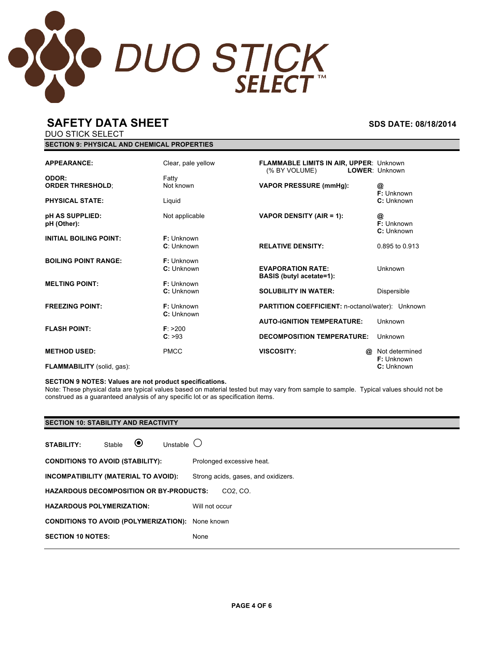

**SECTION 9: PHYSICAL AND CHEMICAL PROPERTIES**

DUO STICK SELECT

| <b>APPEARANCE:</b><br>ODOR:       | Clear, pale yellow<br>Fatty | <b>FLAMMABLE LIMITS IN AIR, UPPER: Unknown</b><br>(% BY VOLUME) | LOWER: Unknown                |
|-----------------------------------|-----------------------------|-----------------------------------------------------------------|-------------------------------|
| <b>ORDER THRESHOLD:</b>           | Not known                   | <b>VAPOR PRESSURE (mmHg):</b>                                   | @<br>F: Unknown               |
| <b>PHYSICAL STATE:</b>            | Liquid                      |                                                                 | C: Unknown                    |
| pH AS SUPPLIED:<br>pH (Other):    | Not applicable              | VAPOR DENSITY (AIR = 1):                                        | @<br>F: Unknown<br>C: Unknown |
| <b>INITIAL BOILING POINT:</b>     | F: Unknown<br>C: Unknown    | <b>RELATIVE DENSITY:</b>                                        | 0.895 to 0.913                |
|                                   |                             |                                                                 |                               |
| <b>BOILING POINT RANGE:</b>       | F: Unknown                  |                                                                 |                               |
|                                   | C: Unknown                  | <b>EVAPORATION RATE:</b><br><b>BASIS</b> (butyl acetate=1):     | Unknown                       |
| <b>MELTING POINT:</b>             | $F:$ Unknown                |                                                                 |                               |
|                                   | C: Unknown                  | <b>SOLUBILITY IN WATER:</b>                                     | Dispersible                   |
| <b>FREEZING POINT:</b>            | F: Unknown                  | <b>PARTITION COEFFICIENT: n-octanol/water): Unknown</b>         |                               |
|                                   | C: Unknown                  |                                                                 |                               |
| <b>FLASH POINT:</b>               | F: > 200                    | <b>AUTO-IGNITION TEMPERATURE:</b>                               | Unknown                       |
|                                   | C: >93                      | <b>DECOMPOSITION TEMPERATURE:</b>                               | Unknown                       |
| <b>METHOD USED:</b>               | <b>PMCC</b>                 | <b>VISCOSITY:</b>                                               | Not determined<br>@           |
| <b>FLAMMABILITY</b> (solid, gas): |                             |                                                                 | F: Unknown<br>C: Unknown      |

### **SECTION 9 NOTES: Values are not product specifications.**

Note: These physical data are typical values based on material tested but may vary from sample to sample. Typical values should not be construed as a guaranteed analysis of any specific lot or as specification items.

### **SECTION 10: STABILITY AND REACTIVITY**

| <b>STABILITY:</b>                                       | Stable | $\odot$ | Unstable $\cup$ |                                     |
|---------------------------------------------------------|--------|---------|-----------------|-------------------------------------|
| <b>CONDITIONS TO AVOID (STABILITY):</b>                 |        |         |                 | Prolonged excessive heat.           |
| INCOMPATIBILITY (MATERIAL TO AVOID):                    |        |         |                 | Strong acids, gases, and oxidizers. |
| <b>HAZARDOUS DECOMPOSITION OR BY-PRODUCTS:</b>          |        |         |                 | CO <sub>2</sub> , C <sub>O</sub>    |
| <b>HAZARDOUS POLYMERIZATION:</b>                        |        |         |                 | Will not occur                      |
| <b>CONDITIONS TO AVOID (POLYMERIZATION):</b> None known |        |         |                 |                                     |
| <b>SECTION 10 NOTES:</b>                                |        |         |                 | None                                |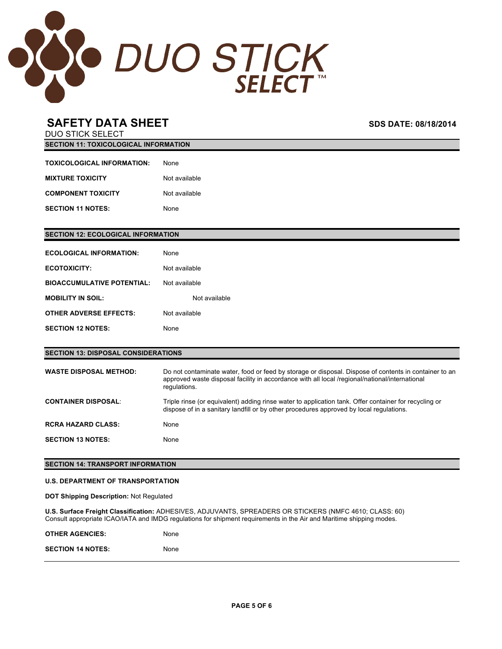

DUO STICK SELECT **SECTION 11: TOXICOLOGICAL INFORMATION**

| TOXICOLOGICAL INFORMATION: | <b>None</b>   |
|----------------------------|---------------|
| <b>MIXTURE TOXICITY</b>    | Not available |
| <b>COMPONENT TOXICITY</b>  | Not available |
| <b>SECTION 11 NOTES:</b>   | <b>None</b>   |

### **SECTION 12: ECOLOGICAL INFORMATION**

| ECOLOGICAL INFORMATION:           | <b>None</b>   |
|-----------------------------------|---------------|
| <b>ECOTOXICITY:</b>               | Not available |
| <b>BIOACCUMULATIVE POTENTIAL:</b> | Not available |
| <b>MOBILITY IN SOIL:</b>          | Not available |
| <b>OTHER ADVERSE EFFECTS:</b>     | Not available |
| <b>SECTION 12 NOTES:</b>          | None          |

**SECTION 13: DISPOSAL CONSIDERATIONS WASTE DISPOSAL METHOD:** Do not contaminate water, food or feed by storage or disposal. Dispose of contents in container to an approved waste disposal facility in accordance with all local /regional/national/international regulations. **CONTAINER DISPOSAL**: Triple rinse (or equivalent) adding rinse water to application tank. Offer container for recycling or dispose of in a sanitary landfill or by other procedures approved by local regulations. **RCRA HAZARD CLASS:** None **SECTION 13 NOTES:** None

### **SECTION 14: TRANSPORT INFORMATION**

### **U.S. DEPARTMENT OF TRANSPORTATION**

**DOT Shipping Description:** Not Regulated

**U.S. Surface Freight Classification:** ADHESIVES, ADJUVANTS, SPREADERS OR STICKERS (NMFC 4610; CLASS: 60) Consult appropriate ICAO/IATA and IMDG regulations for shipment requirements in the Air and Maritime shipping modes.

| <b>OTHER AGENCIES:</b>   | None        |
|--------------------------|-------------|
| <b>SECTION 14 NOTES:</b> | <b>None</b> |